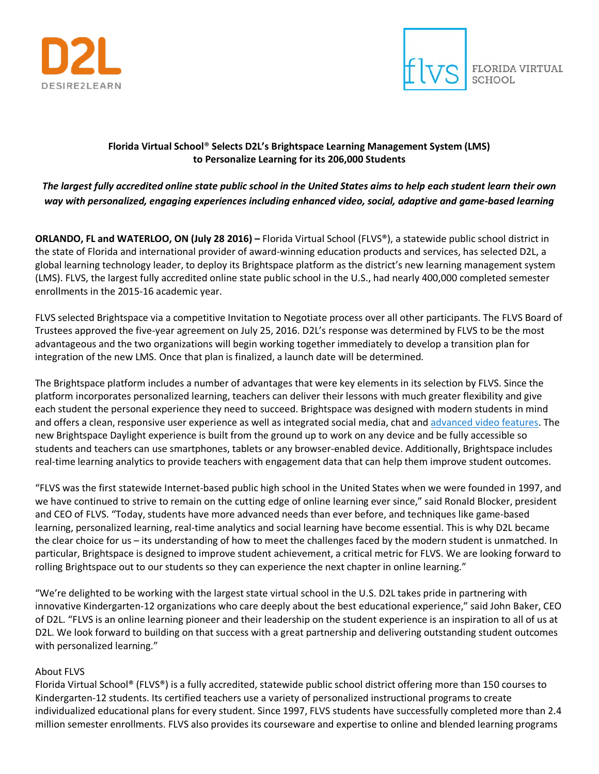



### **Florida Virtual School**® **Selects D2L's Brightspace Learning Management System (LMS) to Personalize Learning for its 206,000 Students**

## *The largest fully accredited online state public school in the United States aims to help each student learn their own way with personalized, engaging experiences including enhanced video, social, adaptive and game-based learning*

**ORLANDO, FL and WATERLOO, ON (July 28 2016) –** Florida Virtual School (FLVS®), a statewide public school district in the state of Florida and international provider of award-winning education products and services, has selected D2L, a global learning technology leader, to deploy its Brightspace platform as the district's new learning management system (LMS). FLVS, the largest fully accredited online state public school in the U.S., had nearly 400,000 completed semester enrollments in the 2015-16 academic year.

FLVS selected Brightspace via a competitive Invitation to Negotiate process over all other participants. The FLVS Board of Trustees approved the five-year agreement on July 25, 2016. D2L's response was determined by FLVS to be the most advantageous and the two organizations will begin working together immediately to develop a transition plan for integration of the new LMS. Once that plan is finalized, a launch date will be determined.

The Brightspace platform includes a number of advantages that were key elements in its selection by FLVS. Since the platform incorporates personalized learning, teachers can deliver their lessons with much greater flexibility and give each student the personal experience they need to succeed. Brightspace was designed with modern students in mind and offers a clean, responsive user experience as well as integrated social media, chat and [advanced video features.](http://www.marketwired.com/press-release/d2l-introduces-virtual-classroom-collaborative-video-tool-now-available-brightspace-2143650.htm) The new Brightspace Daylight experience is built from the ground up to work on any device and be fully accessible so students and teachers can use smartphones, tablets or any browser-enabled device. Additionally, Brightspace includes real-time learning analytics to provide teachers with engagement data that can help them improve student outcomes.

"FLVS was the first statewide Internet-based public high school in the United States when we were founded in 1997, and we have continued to strive to remain on the cutting edge of online learning ever since," said Ronald Blocker, president and CEO of FLVS. "Today, students have more advanced needs than ever before, and techniques like game-based learning, personalized learning, real-time analytics and social learning have become essential. This is why D2L became the clear choice for us – its understanding of how to meet the challenges faced by the modern student is unmatched. In particular, Brightspace is designed to improve student achievement, a critical metric for FLVS. We are looking forward to rolling Brightspace out to our students so they can experience the next chapter in online learning."

"We're delighted to be working with the largest state virtual school in the U.S. D2L takes pride in partnering with innovative Kindergarten-12 organizations who care deeply about the best educational experience," said John Baker, CEO of D2L. "FLVS is an online learning pioneer and their leadership on the student experience is an inspiration to all of us at D2L. We look forward to building on that success with a great partnership and delivering outstanding student outcomes with personalized learning."

### About FLVS

Florida Virtual School® (FLVS®) is a fully accredited, statewide public school district offering more than 150 courses to Kindergarten-12 students. Its certified teachers use a variety of personalized instructional programs to create individualized educational plans for every student. Since 1997, FLVS students have successfully completed more than 2.4 million semester enrollments. FLVS also provides its courseware and expertise to online and blended learning programs